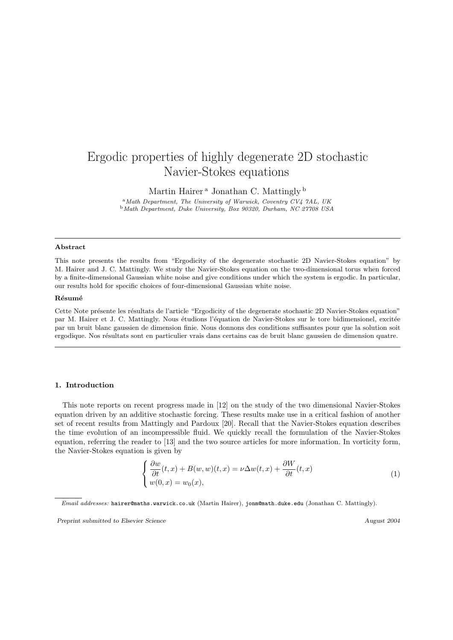# Ergodic properties of highly degenerate 2D stochastic Navier-Stokes equations

Martin Hairer<sup>a</sup> Jonathan C. Mattingly<sup>b</sup>

 $A<sup>a</sup> Math Department, The University of Warwick, Coverity CV4 7AL, UK$  $b$ Math Department, Duke University, Box 90320, Durham, NC 27708 USA

## Abstract

This note presents the results from "Ergodicity of the degenerate stochastic 2D Navier-Stokes equation" by M. Hairer and J. C. Mattingly. We study the Navier-Stokes equation on the two-dimensional torus when forced by a finite-dimensional Gaussian white noise and give conditions under which the system is ergodic. In particular, our results hold for specific choices of four-dimensional Gaussian white noise.

#### Résumé

Cette Note présente les résultats de l'article "Ergodicity of the degenerate stochastic 2D Navier-Stokes equation" par M. Hairer et J. C. Mattingly. Nous étudions l'équation de Navier-Stokes sur le tore bidimensionel, excitée par un bruit blanc gaussien de dimension finie. Nous donnons des conditions suffisantes pour que la solution soit ergodique. Nos résultats sont en particulier vrais dans certains cas de bruit blanc gaussien de dimension quatre.

# 1. Introduction

This note reports on recent progress made in [12] on the study of the two dimensional Navier-Stokes equation driven by an additive stochastic forcing. These results make use in a critical fashion of another set of recent results from Mattingly and Pardoux [20]. Recall that the Navier-Stokes equation describes the time evolution of an incompressible fluid. We quickly recall the formulation of the Navier-Stokes equation, referring the reader to [13] and the two source articles for more information. In vorticity form, the Navier-Stokes equation is given by

$$
\begin{cases}\n\frac{\partial w}{\partial t}(t,x) + B(w,w)(t,x) = \nu \Delta w(t,x) + \frac{\partial W}{\partial t}(t,x) \\
w(0,x) = w_0(x),\n\end{cases} \tag{1}
$$

Preprint submitted to Elsevier Science August 2004

Email addresses: hairer@maths.warwick.co.uk (Martin Hairer), jonm@math.duke.edu (Jonathan C. Mattingly).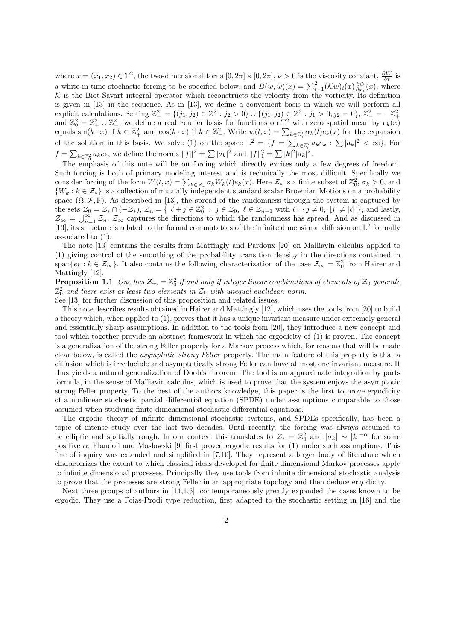where  $x = (x_1, x_2) \in \mathbb{T}^2$ , the two-dimensional torus  $[0, 2\pi] \times [0, 2\pi]$ ,  $\nu > 0$  is the viscosity constant,  $\frac{\partial W}{\partial t}$  is a white-in-time stochastic forcing to be specified below, and  $B(w, \tilde{w})(x) = \sum_{i=1}^{2} (\mathcal{K}w)_i(x) \frac{\partial \tilde{w}}{\partial x_i}(x)$ , where  $K$  is the Biot-Savart integral operator which reconstructs the velocity from the vorticity. Its definition is given in [13] in the sequence. As in [13], we define a convenient basis in which we will perform all explicit calculations. Setting  $\mathbb{Z}_+^2 = \{(j_1, j_2) \in \mathbb{Z}^2 : j_2 > 0\} \cup \{(j_1, j_2) \in \mathbb{Z}^2 : j_1 > 0, j_2 = 0\}, \mathbb{Z}_-^2 = -\mathbb{Z}_+^2$ <br>and  $\mathbb{Z}_0^2 = \mathbb{Z}_+^2 \cup \mathbb{Z}_-^2$ , we define a real Fourier basis for functions on  $\mathbb$ equals  $\sin(k \cdot x)$  if  $k \in \mathbb{Z}_+^2$  and  $\cos(k \cdot x)$  if  $k \in \mathbb{Z}_-^2$ . Write  $w(t, x) = \sum_{k \in \mathbb{Z}_0^2} \alpha_k(t) e_k(x)$  for the expansion of the solution in this basis. We solve (1) on the space  $\mathbb{L}^2 = \{f = \sum_{k \in \mathbb{Z}_0^2} a_k e_k : \sum |a_k|^2 < \infty \}$ . For  $f = \sum_{k \in \mathbb{Z}_0^2} a_k e_k$ , we define the norms  $||f||^2 = \sum |a_k|^2$  and  $||f||_1^2 = \sum |k|^2 |a_k|^2$ .

The emphasis of this note will be on forcing which directly excites only a few degrees of freedom. Such forcing is both of primary modeling interest and is technically the most difficult. Specifically we consider forcing of the form  $W(t,x) = \sum_{k \in \mathcal{Z}_{*}} \sigma_k W_k(t) e_k(x)$ . Here  $\mathcal{Z}_{*}$  is a finite subset of  $\mathbb{Z}_0^2$ ,  $\sigma_k > 0$ , and  ${W_k : k \in \mathcal{Z}_*}$  is a collection of mutually independent standard scalar Brownian Motions on a probability space  $(\Omega, \mathcal{F}, \mathbb{P})$ . As described in [13], the spread of the randomness through the system is captured by the sets  $\mathcal{Z}_0 = \mathcal{Z}_* \cap (-\mathcal{Z}_*), \, \mathcal{Z}_n = \{ \ell + j \in \mathbb{Z}_0^2 : j \in \mathcal{Z}_0, \, \ell \in \mathcal{Z}_{n-1} \text{ with } \ell^{\perp} \cdot j \neq 0, \, |j| \neq |\ell| \, \}$ , and lastly,  $\mathcal{Z}_{\infty} = \bigcup_{n=1}^{\infty} \mathcal{Z}_n$ .  $\mathcal{Z}_{\infty}$  captures the directions to which the randomness has spread. And as discussed in [13], its structure is related to the formal commutators of the infinite dimensional diffusion on  $\mathbb{L}^2$  formally associated to (1).

The note [13] contains the results from Mattingly and Pardoux [20] on Malliavin calculus applied to (1) giving control of the smoothing of the probability transition density in the directions contained in span ${e_k : k \in \mathcal{Z}_{\infty}$ . It also contains the following characterization of the case  $\mathcal{Z}_{\infty} = \mathbb{Z}_0^2$  from Hairer and Mattingly [12].

**Proposition 1.1** One has  $\mathcal{Z}_{\infty} = \mathbb{Z}_0^2$  if and only if integer linear combinations of elements of  $\mathcal{Z}_0$  generate  $\mathbb{Z}^2_0$  and there exist at least two elements in  $\mathcal{Z}_0$  with unequal euclidean norm.

See [13] for further discussion of this proposition and related issues.

This note describes results obtained in Hairer and Mattingly [12], which uses the tools from [20] to build a theory which, when applied to (1), proves that it has a unique invariant measure under extremely general and essentially sharp assumptions. In addition to the tools from [20], they introduce a new concept and tool which together provide an abstract framework in which the ergodicity of (1) is proven. The concept is a generalization of the strong Feller property for a Markov process which, for reasons that will be made clear below, is called the *asymptotic strong Feller* property. The main feature of this property is that a diffusion which is irreducible and asymptotically strong Feller can have at most one invariant measure. It thus yields a natural generalization of Doob's theorem. The tool is an approximate integration by parts formula, in the sense of Malliavin calculus, which is used to prove that the system enjoys the asymptotic strong Feller property. To the best of the authors knowledge, this paper is the first to prove ergodicity of a nonlinear stochastic partial differential equation (SPDE) under assumptions comparable to those assumed when studying finite dimensional stochastic differential equations.

The ergodic theory of infinite dimensional stochastic systems, and SPDEs specifically, has been a topic of intense study over the last two decades. Until recently, the forcing was always assumed to be elliptic and spatially rough. In our context this translates to  $\mathcal{Z}_* = \mathbb{Z}_0^2$  and  $|\sigma_k| \sim |k|^{-\alpha}$  for some positive  $\alpha$ . Flandoli and Maslowski [9] first proved ergodic results for (1) under such assumptions. This line of inquiry was extended and simplified in [7,10]. They represent a larger body of literature which characterizes the extent to which classical ideas developed for finite dimensional Markov processes apply to infinite dimensional processes. Principally they use tools from infinite dimensional stochastic analysis to prove that the processes are strong Feller in an appropriate topology and then deduce ergodicity.

Next three groups of authors in [14,1,5], contemporaneously greatly expanded the cases known to be ergodic. They use a Foias-Prodi type reduction, first adapted to the stochastic setting in [16] and the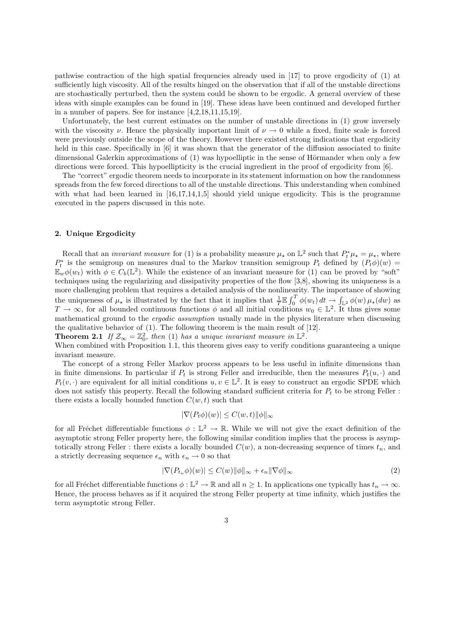pathwise contraction of the high spatial frequencies already used in [17] to prove ergodicity of (1) at sufficiently high viscosity. All of the results hinged on the observation that if all of the unstable directions are stochastically perturbed, then the system could be shown to be ergodic. A general overview of these ideas with simple examples can be found in [19]. These ideas have been continued and developed further in a number of papers. See for instance [4,2,18,11,15,19].

Unfortunately, the best current estimates on the number of unstable directions in (1) grow inversely with the viscosity  $\nu$ . Hence the physically important limit of  $\nu \to 0$  while a fixed, finite scale is forced were previously outside the scope of the theory. However there existed strong indications that ergodicity held in this case. Specifically in [6] it was shown that the generator of the diffusion associated to finite dimensional Galerkin approximations of  $(1)$  was hypoelliptic in the sense of Hörmander when only a few directions were forced. This hypoellipticity is the crucial ingredient in the proof of ergodicity from [6].

The "correct" ergodic theorem needs to incorporate in its statement information on how the randomness spreads from the few forced directions to all of the unstable directions. This understanding when combined with what had been learned in [16,17,14,1,5] should yield unique ergodicity. This is the programme executed in the papers discussed in this note.

### 2. Unique Ergodicity

Recall that an *invariant measure* for (1) is a probability measure  $\mu_{\star}$  on  $\mathbb{L}^2$  such that  $P_t^* \mu_{\star} = \mu_{\star}$ , where  $P_t^*$  is the semigroup on measures dual to the Markov transition semigroup  $P_t$  defined by  $(P_t\phi)(w)$  $\mathbb{E}_w \phi(w_t)$  with  $\phi \in C_b(\mathbb{L}^2)$ . While the existence of an invariant measure for (1) can be proved by "soft" techniques using the regularizing and dissipativity properties of the flow [3,8], showing its uniqueness is a more challenging problem that requires a detailed analysis of the nonlinearity. The importance of showing the uniqueness of  $\mu_{\star}$  is illustrated by the fact that it implies that  $\frac{1}{T} \mathbb{E} \int_0^T \phi(w_t) dt \to \int_{\mathbb{L}^2} \phi(w) \mu_{\star}(dw)$  as  $T \to \infty$ , for all bounded continuous functions  $\phi$  and all initial conditions  $w_0 \in \mathbb{L}^2$ . It thus gives some mathematical ground to the ergodic assumption usually made in the physics literature when discussing the qualitative behavior of (1). The following theorem is the main result of [12].

**Theorem 2.1** If  $\mathcal{Z}_{\infty} = \mathbb{Z}_0^2$ , then (1) has a unique invariant measure in  $\mathbb{L}^2$ .

When combined with Proposition 1.1, this theorem gives easy to verify conditions guaranteeing a unique invariant measure.

The concept of a strong Feller Markov process appears to be less useful in infinite dimensions than in finite dimensions. In particular if  $P_t$  is strong Feller and irreducible, then the measures  $P_t(u, \cdot)$  and  $P_t(v, \cdot)$  are equivalent for all initial conditions  $u, v \in \mathbb{L}^2$ . It is easy to construct an ergodic SPDE which does not satisfy this property. Recall the following standard sufficient criteria for  $P_t$  to be strong Feller : there exists a locally bounded function  $C(w, t)$  such that

$$
|\nabla (P_t \phi)(w)| \le C(w, t) ||\phi||_{\infty}
$$

for all Fréchet differentiable functions  $\phi : \mathbb{L}^2 \to \mathbb{R}$ . While we will not give the exact definition of the asymptotic strong Feller property here, the following similar condition implies that the process is asymptotically strong Feller : there exists a locally bounded  $C(w)$ , a non-decreasing sequence of times  $t_n$ , and a strictly decreasing sequence  $\epsilon_n$  with  $\epsilon_n \to 0$  so that

$$
|\nabla (P_{t_n}\phi)(w)| \le C(w) \|\phi\|_{\infty} + \epsilon_n \|\nabla \phi\|_{\infty}
$$
\n(2)

for all Fréchet differentiable functions  $\phi : \mathbb{L}^2 \to \mathbb{R}$  and all  $n \geq 1$ . In applications one typically has  $t_n \to \infty$ . Hence, the process behaves as if it acquired the strong Feller property at time infinity, which justifies the term asymptotic strong Feller.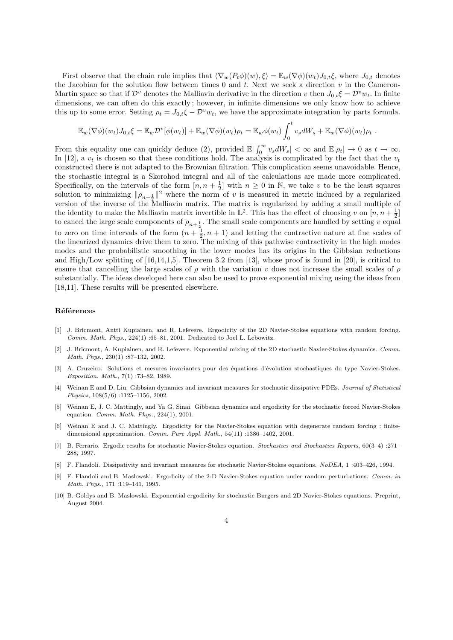First observe that the chain rule implies that  $\langle \nabla_w(P_t\phi)(w), \xi \rangle = \mathbb{E}_w(\nabla \phi)(w_t)J_{0,t}\xi$ , where  $J_{0,t}$  denotes the Jacobian for the solution flow between times 0 and t. Next we seek a direction  $v$  in the Cameron-Martin space so that if  $\mathcal{D}^v$  denotes the Malliavin derivative in the direction v then  $J_{0,t}\xi = \mathcal{D}^v w_t$ . In finite dimensions, we can often do this exactly ; however, in infinite dimensions we only know how to achieve this up to some error. Setting  $\rho_t = J_{0,t} \xi - \mathcal{D}^v w_t$ , we have the approximate integration by parts formula.

$$
\mathbb{E}_w(\nabla \phi)(w_t)J_{0,t}\xi = \mathbb{E}_w \mathcal{D}^v[\phi(w_t)] + \mathbb{E}_w(\nabla \phi)(w_t)\rho_t = \mathbb{E}_w \phi(w_t) \int_0^t v_s dW_s + \mathbb{E}_w(\nabla \phi)(w_t)\rho_t.
$$

From this equality one can quickly deduce (2), provided  $\mathbb{E}|\int_0^\infty v_s dW_s| < \infty$  and  $\mathbb{E}|\rho_t| \to 0$  as  $t \to \infty$ . In [12], a  $v_t$  is chosen so that these conditions hold. The analysis is complicated by the fact that the  $v_t$ constructed there is not adapted to the Brownian filtration. This complication seems unavoidable. Hence, the stochastic integral is a Skorohod integral and all of the calculations are made more complicated. Specifically, on the intervals of the form  $[n, n + \frac{1}{2}]$  with  $n \geq 0$  in N, we take v to be the least squares solution to minimizing  $\|\rho_{n+\frac{1}{2}}\|^2$  where the norm of v is measured in metric induced by a regularized version of the inverse of the Malliavin matrix. The matrix is regularized by adding a small multiple of the identity to make the Malliavin matrix invertible in  $\mathbb{L}^2$ . This has the effect of choosing v on  $[n, n + \frac{1}{2}]$ to cancel the large scale components of  $\rho_{n+\frac{1}{2}}$ . The small scale components are handled by setting v equal to zero on time intervals of the form  $(n + \frac{1}{2}, n + 1)$  and letting the contractive nature at fine scales of the linearized dynamics drive them to zero. The mixing of this pathwise contractivity in the high modes modes and the probabilistic smoothing in the lower modes has its origins in the Gibbsian reductions and High/Low splitting of  $[16,14,1,5]$ . Theorem 3.2 from [13], whose proof is found in [20], is critical to ensure that cancelling the large scales of  $\rho$  with the variation v does not increase the small scales of  $\rho$ substantially. The ideas developed here can also be used to prove exponential mixing using the ideas from [18,11]. These results will be presented elsewhere.

## Références

- [1] J. Bricmont, Antti Kupiainen, and R. Lefevere. Ergodicity of the 2D Navier-Stokes equations with random forcing. Comm. Math. Phys., 224(1) :65–81, 2001. Dedicated to Joel L. Lebowitz.
- [2] J. Bricmont, A. Kupiainen, and R. Lefevere. Exponential mixing of the 2D stochastic Navier-Stokes dynamics. Comm. Math. Phys., 230(1) :87–132, 2002.
- [3] A. Cruzeiro. Solutions et mesures invariantes pour des équations d'évolution stochastiques du type Navier-Stokes. Exposition. Math., 7(1) :73–82, 1989.
- [4] Weinan E and D. Liu. Gibbsian dynamics and invariant measures for stochastic dissipative PDEs. Journal of Statistical Physics, 108(5/6) :1125–1156, 2002.
- [5] Weinan E, J. C. Mattingly, and Ya G. Sinai. Gibbsian dynamics and ergodicity for the stochastic forced Navier-Stokes equation. Comm. Math. Phys., 224(1), 2001.
- [6] Weinan E and J. C. Mattingly. Ergodicity for the Navier-Stokes equation with degenerate random forcing : finitedimensional approximation. Comm. Pure Appl. Math., 54(11) :1386–1402, 2001.
- [7] B. Ferrario. Ergodic results for stochastic Navier-Stokes equation. Stochastics and Stochastics Reports, 60(3–4) :271– 288, 1997.
- [8] F. Flandoli. Dissipativity and invariant measures for stochastic Navier-Stokes equations. NoDEA, 1 :403–426, 1994.
- [9] F. Flandoli and B. Maslowski. Ergodicity of the 2-D Navier-Stokes equation under random perturbations. Comm. in Math. Phys., 171 :119–141, 1995.
- [10] B. Goldys and B. Maslowski. Exponential ergodicity for stochastic Burgers and 2D Navier-Stokes equations. Preprint, August 2004.